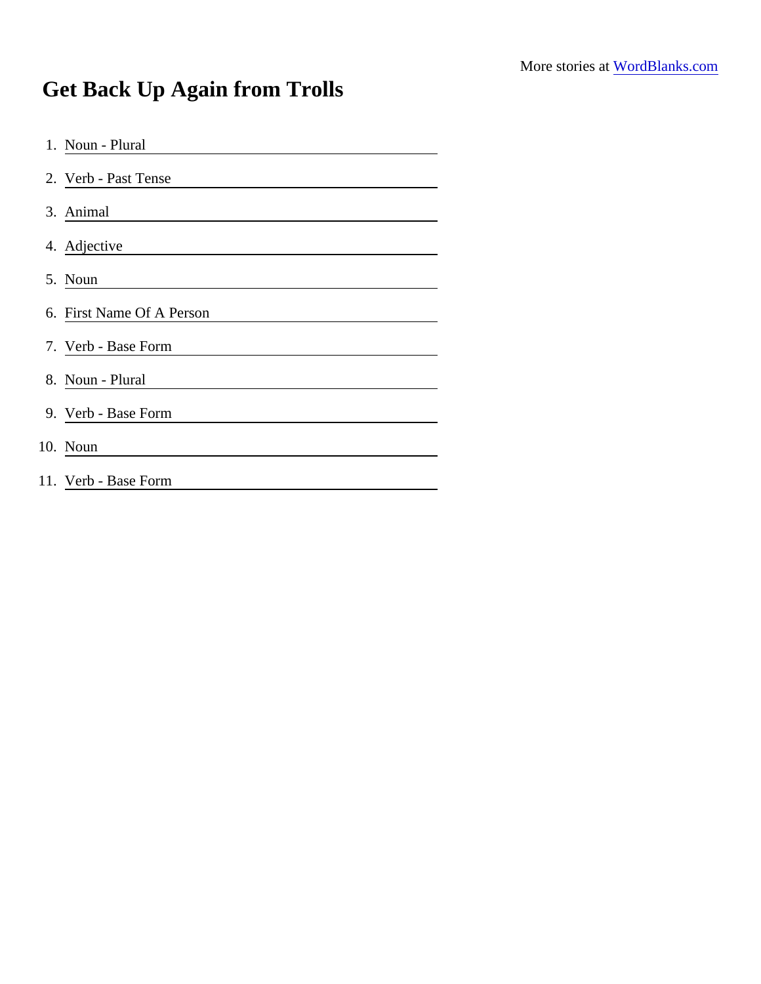## Get Back Up Again from Trolls

| 1. Noun - Plural          |
|---------------------------|
| 2. Verb - Past Tense      |
| 3. Animal                 |
| 4. Adjective              |
| 5. Noun                   |
| 6. First Name Of A Person |
| 7. Verb - Base Form       |
| 8. Noun - Plural          |
| 9. Verb - Base Form       |
| 10. Noun                  |
| 11. Verb - Base Form      |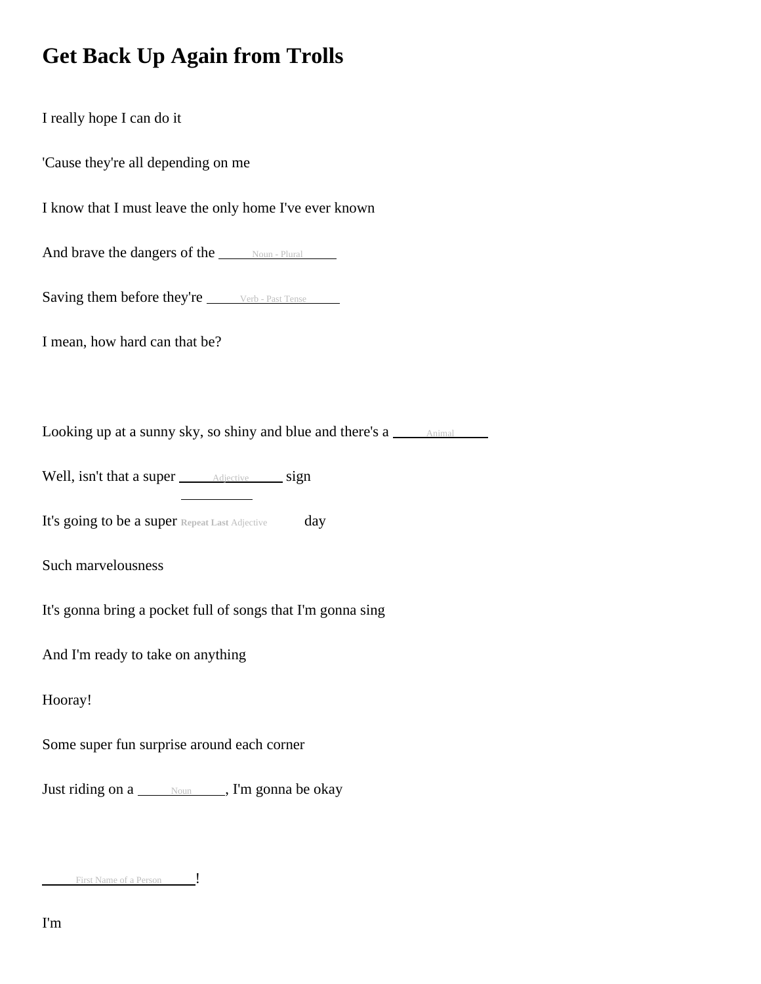## **Get Back Up Again from Trolls**

I really hope I can do it

'Cause they're all depending on me

I know that I must leave the only home I've ever known

And brave the dangers of the Noun-Plural

Saving them before they're <u>verb - Past Tense</u>

I mean, how hard can that be?

Looking up at a sunny sky, so shiny and blue and there's  $a_{\text{A}}$ 

Well, isn't that a super  $\frac{\text{Adjective}}{\text{Adjective}}$  sign

It's going to be a super **Repeat Last** Adjective day

Such marvelousness

It's gonna bring a pocket full of songs that I'm gonna sing

And I'm ready to take on anything

Hooray!

Some super fun surprise around each corner

Just riding on a  $\frac{N_{\text{Oun}}}{N_{\text{Oun}}}$ , I'm gonna be okay

First Name of a Person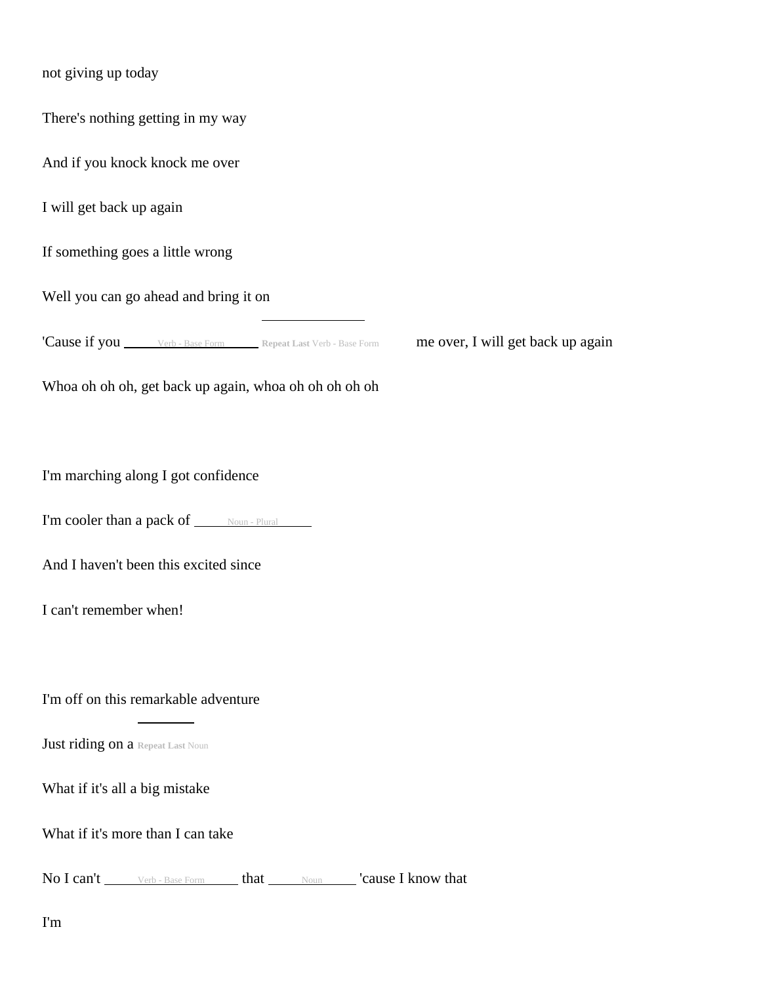| not giving up today                                                                                             |  |
|-----------------------------------------------------------------------------------------------------------------|--|
| There's nothing getting in my way                                                                               |  |
| And if you knock knock me over                                                                                  |  |
| I will get back up again                                                                                        |  |
| If something goes a little wrong                                                                                |  |
| Well you can go ahead and bring it on                                                                           |  |
| 'Cause if you _______ Verb - Base Form ______ Repeat Last Verb - Base Form<br>me over, I will get back up again |  |
| Whoa oh oh oh, get back up again, whoa oh oh oh oh oh                                                           |  |
|                                                                                                                 |  |
| I'm marching along I got confidence                                                                             |  |
| I'm cooler than a pack of <u>Noun - Plural</u>                                                                  |  |
| And I haven't been this excited since                                                                           |  |
| I can't remember when!                                                                                          |  |
|                                                                                                                 |  |
| I'm off on this remarkable adventure                                                                            |  |
| Just riding on a Repeat Last Noun                                                                               |  |
| What if it's all a big mistake                                                                                  |  |
| What if it's more than I can take                                                                               |  |
|                                                                                                                 |  |
| $\mathbf{I}'\mathbf{m}$                                                                                         |  |